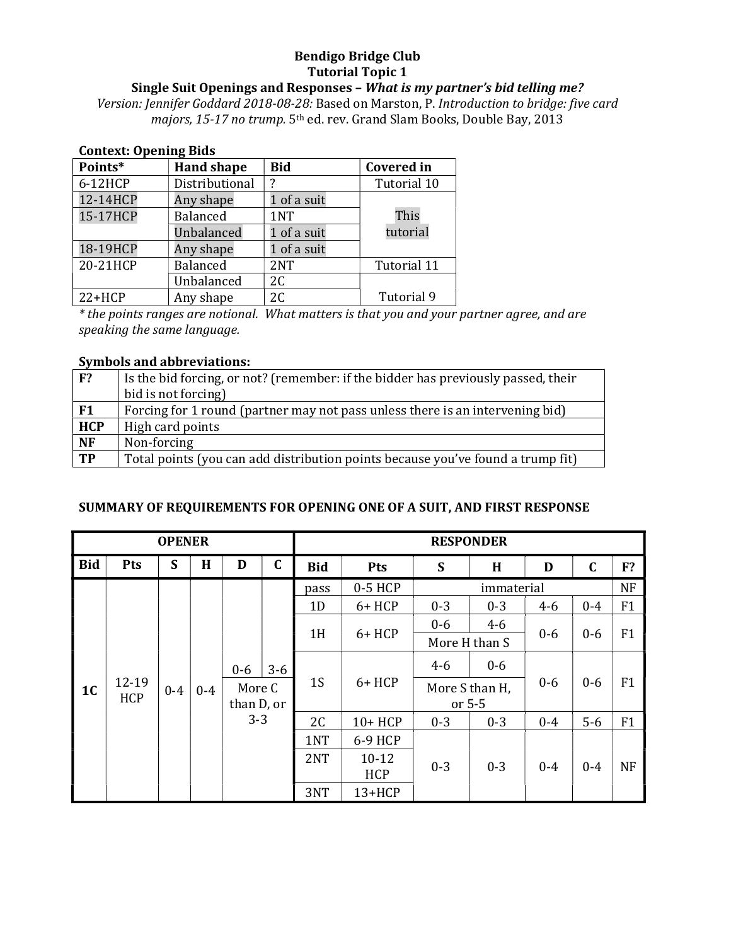## Bendigo Bridge Club Tutorial Topic 1

# Single Suit Openings and Responses – What is my partner's bid telling me?

Version: Jennifer Goddard 2018-08-28: Based on Marston, P. Introduction to bridge: five card majors, 15-17 no trump. 5<sup>th</sup> ed. rev. Grand Slam Books, Double Bay, 2013

| <b>Context: Opening Bids</b> |                   |             |                   |  |  |  |
|------------------------------|-------------------|-------------|-------------------|--|--|--|
| Points*                      | <b>Hand shape</b> | <b>Bid</b>  | <b>Covered in</b> |  |  |  |
| 6-12HCP                      | Distributional    | 7           | Tutorial 10       |  |  |  |
| 12-14HCP                     | Any shape         | 1 of a suit |                   |  |  |  |
| 15-17HCP                     | <b>Balanced</b>   | 1NT         | This              |  |  |  |
|                              | Unbalanced        | 1 of a suit | tutorial          |  |  |  |
| 18-19HCP                     | Any shape         | 1 of a suit |                   |  |  |  |
| 20-21HCP                     | <b>Balanced</b>   | 2NT         | Tutorial 11       |  |  |  |
|                              | Unbalanced        | 2C          |                   |  |  |  |
| $22+HCP$                     | Any shape         | 2C          | Tutorial 9        |  |  |  |

\* the points ranges are notional. What matters is that you and your partner agree, and are speaking the same language.

#### Symbols and abbreviations:

| F <sup>2</sup> | Is the bid forcing, or not? (remember: if the bidder has previously passed, their |
|----------------|-----------------------------------------------------------------------------------|
|                | bid is not forcing)                                                               |
| F <sub>1</sub> | Forcing for 1 round (partner may not pass unless there is an intervening bid)     |
| <b>HCP</b>     | High card points                                                                  |
| <b>NF</b>      | Non-forcing                                                                       |
| <b>TP</b>      | Total points (you can add distribution points because you've found a trump fit)   |

### SUMMARY OF REQUIREMENTS FOR OPENING ONE OF A SUIT, AND FIRST RESPONSE

|                                           |       | <b>OPENER</b> |                      |                |             |                |         |          | <b>RESPONDER</b> |         |             |           |
|-------------------------------------------|-------|---------------|----------------------|----------------|-------------|----------------|---------|----------|------------------|---------|-------------|-----------|
| <b>Bid</b>                                | Pts   | S             | H                    | D              | $\mathbf C$ | <b>Bid</b>     | Pts     | S        | H                | D       | $\mathbf C$ | F?        |
|                                           |       |               |                      |                |             | pass           | 0-5 HCP |          | immaterial       |         |             | <b>NF</b> |
|                                           |       |               |                      |                |             | 1 <sub>D</sub> | 6+ HCP  | $0 - 3$  | $0 - 3$          | $4-6$   | $0 - 4$     | F1        |
|                                           |       |               |                      |                |             |                |         | $0-6$    | $4 - 6$          |         |             |           |
|                                           |       |               | 1H<br>6+ HCP         |                |             | More H than S  | $0-6$   | $0-6$    | F1               |         |             |           |
|                                           |       |               |                      | $0 - 6$        | $3-6$       |                |         | $4 - 6$  | $0-6$            |         |             |           |
| $12 - 19$<br>1 <sub>C</sub><br><b>HCP</b> | $0-4$ | $0 - 4$       | More C<br>than D, or | 1 <sub>S</sub> | $6+HCP$     | More S than H, |         | $0-6$    | $0-6$            | F1      |             |           |
|                                           |       |               |                      |                |             |                |         | or $5-5$ |                  |         |             |           |
|                                           |       |               |                      | $3 - 3$        |             | 2 <sub>C</sub> | 10+ HCP | $0 - 3$  | $0 - 3$          | $0 - 4$ | $5-6$       | F1        |
|                                           |       |               |                      |                |             | 1NT            | 6-9 HCP |          |                  |         |             |           |
|                                           |       |               |                      |                | 2NT         | $10 - 12$      | $0 - 3$ | $0 - 3$  | $0 - 4$          | $0 - 4$ | <b>NF</b>   |           |
|                                           |       |               |                      |                |             |                | HCP     |          |                  |         |             |           |
|                                           |       |               |                      |                |             | 3NT            | 13+HCP  |          |                  |         |             |           |